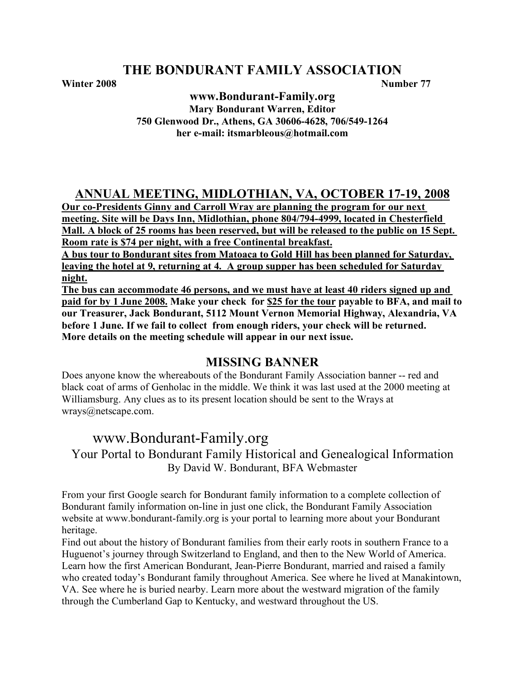**Winter 2008 Number 77**

**www.Bondurant-Family.org Mary Bondurant Warren, Editor 750 Glenwood Dr., Athens, GA 30606-4628, 706/549-1264 her e-mail: itsmarbleous@hotmail.com**

# **ANNUAL MEETING, MIDLOTHIAN, VA, OCTOBER 17-19, 2008**

**Our co-Presidents Ginny and Carroll Wray are planning the program for our next meeting. Site will be Days Inn, Midlothian, phone 804/794-4999, located in Chesterfield Mall. A block of 25 rooms has been reserved, but will be released to the public on 15 Sept. Room rate is \$74 per night, with a free Continental breakfast.**

**A bus tour to Bondurant sites from Matoaca to Gold Hill has been planned for Saturday, leaving the hotel at 9, returning at 4. A group supper has been scheduled for Saturday night.**

**The bus can accommodate 46 persons, and we must have at least 40 riders signed up and paid for by 1 June 2008. Make your check for \$25 for the tour payable to BFA, and mail to our Treasurer, Jack Bondurant, 5112 Mount Vernon Memorial Highway, Alexandria, VA before 1 June. If we fail to collect from enough riders, your check will be returned. More details on the meeting schedule will appear in our next issue.**

# **MISSING BANNER**

Does anyone know the whereabouts of the Bondurant Family Association banner -- red and black coat of arms of Genholac in the middle. We think it was last used at the 2000 meeting at Williamsburg. Any clues as to its present location should be sent to the Wrays at wrays@netscape.com.

# www.Bondurant-Family.org

Your Portal to Bondurant Family Historical and Genealogical Information By David W. Bondurant, BFA Webmaster

From your first Google search for Bondurant family information to a complete collection of Bondurant family information on-line in just one click, the Bondurant Family Association website at www.bondurant-family.org is your portal to learning more about your Bondurant heritage.

Find out about the history of Bondurant families from their early roots in southern France to a Huguenot's journey through Switzerland to England, and then to the New World of America. Learn how the first American Bondurant, Jean-Pierre Bondurant, married and raised a family who created today's Bondurant family throughout America. See where he lived at Manakintown, VA. See where he is buried nearby. Learn more about the westward migration of the family through the Cumberland Gap to Kentucky, and westward throughout the US.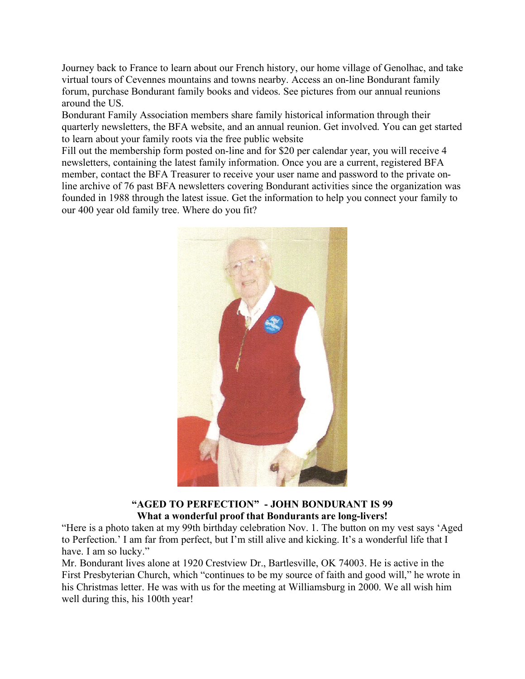Journey back to France to learn about our French history, our home village of Genolhac, and take virtual tours of Cevennes mountains and towns nearby. Access an on-line Bondurant family forum, purchase Bondurant family books and videos. See pictures from our annual reunions around the US.

Bondurant Family Association members share family historical information through their quarterly newsletters, the BFA website, and an annual reunion. Get involved. You can get started to learn about your family roots via the free public website

Fill out the membership form posted on-line and for \$20 per calendar year, you will receive 4 newsletters, containing the latest family information. Once you are a current, registered BFA member, contact the BFA Treasurer to receive your user name and password to the private online archive of 76 past BFA newsletters covering Bondurant activities since the organization was founded in 1988 through the latest issue. Get the information to help you connect your family to our 400 year old family tree. Where do you fit?



**"AGED TO PERFECTION" - JOHN BONDURANT IS 99 What a wonderful proof that Bondurants are long-livers!**

"Here is a photo taken at my 99th birthday celebration Nov. 1. The button on my vest says 'Aged to Perfection.' I am far from perfect, but I'm still alive and kicking. It's a wonderful life that I have. I am so lucky."

Mr. Bondurant lives alone at 1920 Crestview Dr., Bartlesville, OK 74003. He is active in the First Presbyterian Church, which "continues to be my source of faith and good will," he wrote in his Christmas letter. He was with us for the meeting at Williamsburg in 2000. We all wish him well during this, his 100th year!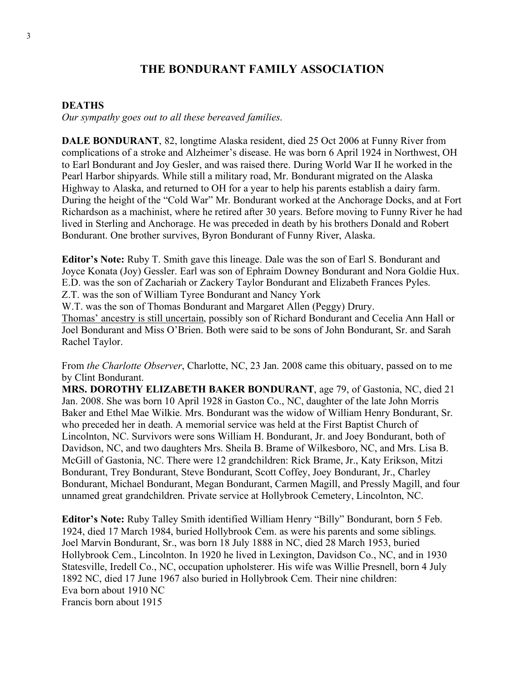#### **DEATHS**

*Our sympathy goes out to all these bereaved families*.

**DALE BONDURANT**, 82, longtime Alaska resident, died 25 Oct 2006 at Funny River from complications of a stroke and Alzheimer's disease. He was born 6 April 1924 in Northwest, OH to Earl Bondurant and Joy Gesler, and was raised there. During World War II he worked in the Pearl Harbor shipyards. While still a military road, Mr. Bondurant migrated on the Alaska Highway to Alaska, and returned to OH for a year to help his parents establish a dairy farm. During the height of the "Cold War" Mr. Bondurant worked at the Anchorage Docks, and at Fort Richardson as a machinist, where he retired after 30 years. Before moving to Funny River he had lived in Sterling and Anchorage. He was preceded in death by his brothers Donald and Robert Bondurant. One brother survives, Byron Bondurant of Funny River, Alaska.

**Editor's Note:** Ruby T. Smith gave this lineage. Dale was the son of Earl S. Bondurant and Joyce Konata (Joy) Gessler. Earl was son of Ephraim Downey Bondurant and Nora Goldie Hux. E.D. was the son of Zachariah or Zackery Taylor Bondurant and Elizabeth Frances Pyles.

Z.T. was the son of William Tyree Bondurant and Nancy York

W.T. was the son of Thomas Bondurant and Margaret Allen (Peggy) Drury.

Thomas' ancestry is still uncertain, possibly son of Richard Bondurant and Cecelia Ann Hall or Joel Bondurant and Miss O'Brien. Both were said to be sons of John Bondurant, Sr. and Sarah Rachel Taylor.

From *the Charlotte Observer*, Charlotte, NC, 23 Jan. 2008 came this obituary, passed on to me by Clint Bondurant.

**MRS. DOROTHY ELIZABETH BAKER BONDURANT**, age 79, of Gastonia, NC, died 21 Jan. 2008. She was born 10 April 1928 in Gaston Co., NC, daughter of the late John Morris Baker and Ethel Mae Wilkie. Mrs. Bondurant was the widow of William Henry Bondurant, Sr. who preceded her in death. A memorial service was held at the First Baptist Church of Lincolnton, NC. Survivors were sons William H. Bondurant, Jr. and Joey Bondurant, both of Davidson, NC, and two daughters Mrs. Sheila B. Brame of Wilkesboro, NC, and Mrs. Lisa B. McGill of Gastonia, NC. There were 12 grandchildren: Rick Brame, Jr., Katy Erikson, Mitzi Bondurant, Trey Bondurant, Steve Bondurant, Scott Coffey, Joey Bondurant, Jr., Charley Bondurant, Michael Bondurant, Megan Bondurant, Carmen Magill, and Pressly Magill, and four unnamed great grandchildren. Private service at Hollybrook Cemetery, Lincolnton, NC.

**Editor's Note:** Ruby Talley Smith identified William Henry "Billy" Bondurant, born 5 Feb. 1924, died 17 March 1984, buried Hollybrook Cem. as were his parents and some siblings. Joel Marvin Bondurant, Sr., was born 18 July 1888 in NC, died 28 March 1953, buried Hollybrook Cem., Lincolnton. In 1920 he lived in Lexington, Davidson Co., NC, and in 1930 Statesville, Iredell Co., NC, occupation upholsterer. His wife was Willie Presnell, born 4 July 1892 NC, died 17 June 1967 also buried in Hollybrook Cem. Their nine children: Eva born about 1910 NC Francis born about 1915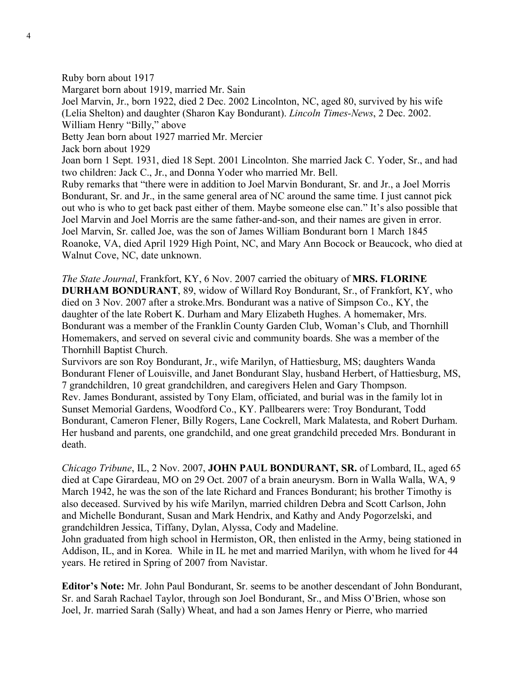Ruby born about 1917 Margaret born about 1919, married Mr. Sain Joel Marvin, Jr., born 1922, died 2 Dec. 2002 Lincolnton, NC, aged 80, survived by his wife (Lelia Shelton) and daughter (Sharon Kay Bondurant). *Lincoln Times-News*, 2 Dec. 2002. William Henry "Billy," above Betty Jean born about 1927 married Mr. Mercier Jack born about 1929 Joan born 1 Sept. 1931, died 18 Sept. 2001 Lincolnton. She married Jack C. Yoder, Sr., and had two children: Jack C., Jr., and Donna Yoder who married Mr. Bell. Ruby remarks that "there were in addition to Joel Marvin Bondurant, Sr. and Jr., a Joel Morris Bondurant, Sr. and Jr., in the same general area of NC around the same time. I just cannot pick out who is who to get back past either of them. Maybe someone else can." It's also possible that Joel Marvin and Joel Morris are the same father-and-son, and their names are given in error. Joel Marvin, Sr. called Joe, was the son of James William Bondurant born 1 March 1845 Roanoke, VA, died April 1929 High Point, NC, and Mary Ann Bocock or Beaucock, who died at Walnut Cove, NC, date unknown.

*The State Journal*, Frankfort, KY, 6 Nov. 2007 carried the obituary of **MRS. FLORINE DURHAM BONDURANT**, 89, widow of Willard Roy Bondurant, Sr., of Frankfort, KY, who died on 3 Nov. 2007 after a stroke.Mrs. Bondurant was a native of Simpson Co., KY, the daughter of the late Robert K. Durham and Mary Elizabeth Hughes. A homemaker, Mrs. Bondurant was a member of the Franklin County Garden Club, Woman's Club, and Thornhill Homemakers, and served on several civic and community boards. She was a member of the Thornhill Baptist Church.

Survivors are son Roy Bondurant, Jr., wife Marilyn, of Hattiesburg, MS; daughters Wanda Bondurant Flener of Louisville, and Janet Bondurant Slay, husband Herbert, of Hattiesburg, MS, 7 grandchildren, 10 great grandchildren, and caregivers Helen and Gary Thompson. Rev. James Bondurant, assisted by Tony Elam, officiated, and burial was in the family lot in Sunset Memorial Gardens, Woodford Co., KY. Pallbearers were: Troy Bondurant, Todd Bondurant, Cameron Flener, Billy Rogers, Lane Cockrell, Mark Malatesta, and Robert Durham. Her husband and parents, one grandchild, and one great grandchild preceded Mrs. Bondurant in death.

*Chicago Tribune*, IL, 2 Nov. 2007, **JOHN PAUL BONDURANT, SR.** of Lombard, IL, aged 65 died at Cape Girardeau, MO on 29 Oct. 2007 of a brain aneurysm. Born in Walla Walla, WA, 9 March 1942, he was the son of the late Richard and Frances Bondurant; his brother Timothy is also deceased. Survived by his wife Marilyn, married children Debra and Scott Carlson, John and Michelle Bondurant, Susan and Mark Hendrix, and Kathy and Andy Pogorzelski, and grandchildren Jessica, Tiffany, Dylan, Alyssa, Cody and Madeline. John graduated from high school in Hermiston, OR, then enlisted in the Army, being stationed in Addison, IL, and in Korea. While in IL he met and married Marilyn, with whom he lived for 44 years. He retired in Spring of 2007 from Navistar.

**Editor's Note:** Mr. John Paul Bondurant, Sr. seems to be another descendant of John Bondurant, Sr. and Sarah Rachael Taylor, through son Joel Bondurant, Sr., and Miss O'Brien, whose son Joel, Jr. married Sarah (Sally) Wheat, and had a son James Henry or Pierre, who married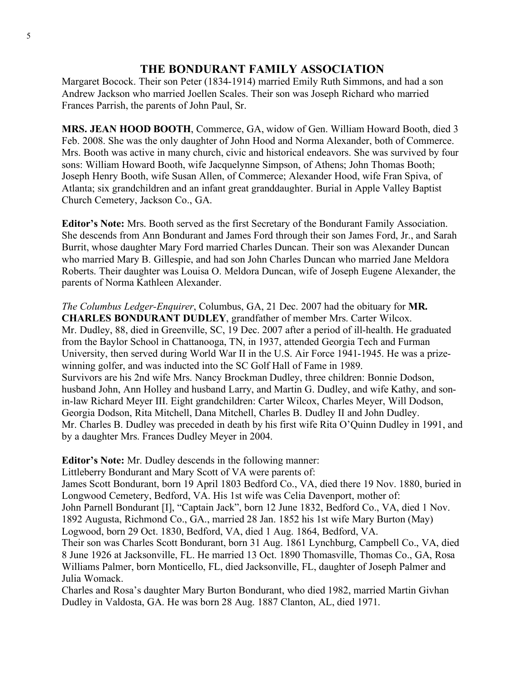Margaret Bocock. Their son Peter (1834-1914) married Emily Ruth Simmons, and had a son Andrew Jackson who married Joellen Scales. Their son was Joseph Richard who married Frances Parrish, the parents of John Paul, Sr.

**MRS. JEAN HOOD BOOTH**, Commerce, GA, widow of Gen. William Howard Booth, died 3 Feb. 2008. She was the only daughter of John Hood and Norma Alexander, both of Commerce. Mrs. Booth was active in many church, civic and historical endeavors. She was survived by four sons: William Howard Booth, wife Jacquelynne Simpson, of Athens; John Thomas Booth; Joseph Henry Booth, wife Susan Allen, of Commerce; Alexander Hood, wife Fran Spiva, of Atlanta; six grandchildren and an infant great granddaughter. Burial in Apple Valley Baptist Church Cemetery, Jackson Co., GA.

**Editor's Note:** Mrs. Booth served as the first Secretary of the Bondurant Family Association. She descends from Ann Bondurant and James Ford through their son James Ford, Jr., and Sarah Burrit, whose daughter Mary Ford married Charles Duncan. Their son was Alexander Duncan who married Mary B. Gillespie, and had son John Charles Duncan who married Jane Meldora Roberts. Their daughter was Louisa O. Meldora Duncan, wife of Joseph Eugene Alexander, the parents of Norma Kathleen Alexander.

*The Columbus Ledger-Enquirer*, Columbus, GA, 21 Dec. 2007 had the obituary for **MR. CHARLES BONDURANT DUDLEY**, grandfather of member Mrs. Carter Wilcox. Mr. Dudley, 88, died in Greenville, SC, 19 Dec. 2007 after a period of ill-health. He graduated from the Baylor School in Chattanooga, TN, in 1937, attended Georgia Tech and Furman University, then served during World War II in the U.S. Air Force 1941-1945. He was a prizewinning golfer, and was inducted into the SC Golf Hall of Fame in 1989. Survivors are his 2nd wife Mrs. Nancy Brockman Dudley, three children: Bonnie Dodson, husband John, Ann Holley and husband Larry, and Martin G. Dudley, and wife Kathy, and sonin-law Richard Meyer III. Eight grandchildren: Carter Wilcox, Charles Meyer, Will Dodson, Georgia Dodson, Rita Mitchell, Dana Mitchell, Charles B. Dudley II and John Dudley. Mr. Charles B. Dudley was preceded in death by his first wife Rita O'Quinn Dudley in 1991, and by a daughter Mrs. Frances Dudley Meyer in 2004.

**Editor's Note:** Mr. Dudley descends in the following manner:

Littleberry Bondurant and Mary Scott of VA were parents of:

James Scott Bondurant, born 19 April 1803 Bedford Co., VA, died there 19 Nov. 1880, buried in Longwood Cemetery, Bedford, VA. His 1st wife was Celia Davenport, mother of:

John Parnell Bondurant [I], "Captain Jack", born 12 June 1832, Bedford Co., VA, died 1 Nov. 1892 Augusta, Richmond Co., GA., married 28 Jan. 1852 his 1st wife Mary Burton (May) Logwood, born 29 Oct. 1830, Bedford, VA, died 1 Aug. 1864, Bedford, VA.

Their son was Charles Scott Bondurant, born 31 Aug. 1861 Lynchburg, Campbell Co., VA, died 8 June 1926 at Jacksonville, FL. He married 13 Oct. 1890 Thomasville, Thomas Co., GA, Rosa Williams Palmer, born Monticello, FL, died Jacksonville, FL, daughter of Joseph Palmer and Julia Womack.

Charles and Rosa's daughter Mary Burton Bondurant, who died 1982, married Martin Givhan Dudley in Valdosta, GA. He was born 28 Aug. 1887 Clanton, AL, died 1971.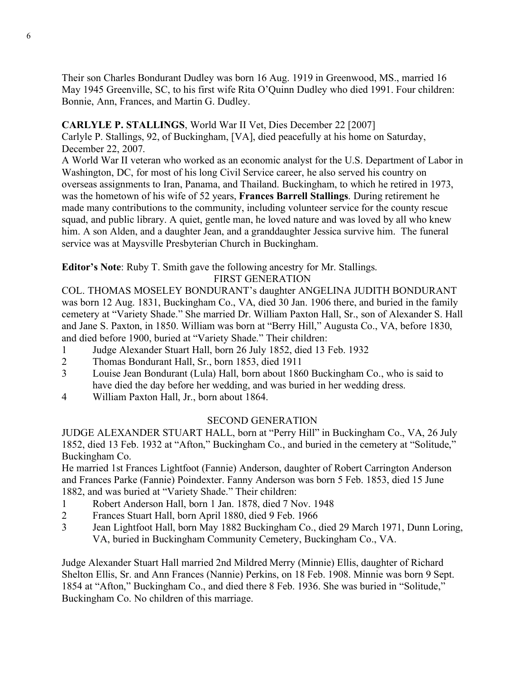Their son Charles Bondurant Dudley was born 16 Aug. 1919 in Greenwood, MS., married 16 May 1945 Greenville, SC, to his first wife Rita O'Quinn Dudley who died 1991. Four children: Bonnie, Ann, Frances, and Martin G. Dudley.

#### **CARLYLE P. STALLINGS**, World War II Vet, Dies December 22 [2007]

Carlyle P. Stallings, 92, of Buckingham, [VA], died peacefully at his home on Saturday, December 22, 2007.

A World War II veteran who worked as an economic analyst for the U.S. Department of Labor in Washington, DC, for most of his long Civil Service career, he also served his country on overseas assignments to Iran, Panama, and Thailand. Buckingham, to which he retired in 1973, was the hometown of his wife of 52 years, **Frances Barrell Stallings**. During retirement he made many contributions to the community, including volunteer service for the county rescue squad, and public library. A quiet, gentle man, he loved nature and was loved by all who knew him. A son Alden, and a daughter Jean, and a granddaughter Jessica survive him. The funeral service was at Maysville Presbyterian Church in Buckingham.

**Editor's Note**: Ruby T. Smith gave the following ancestry for Mr. Stallings.

#### FIRST GENERATION

COL. THOMAS MOSELEY BONDURANT's daughter ANGELINA JUDITH BONDURANT was born 12 Aug. 1831, Buckingham Co., VA, died 30 Jan. 1906 there, and buried in the family cemetery at "Variety Shade." She married Dr. William Paxton Hall, Sr., son of Alexander S. Hall and Jane S. Paxton, in 1850. William was born at "Berry Hill," Augusta Co., VA, before 1830, and died before 1900, buried at "Variety Shade." Their children:

- 1 Judge Alexander Stuart Hall, born 26 July 1852, died 13 Feb. 1932
- 2 Thomas Bondurant Hall, Sr., born 1853, died 1911
- 3 Louise Jean Bondurant (Lula) Hall, born about 1860 Buckingham Co., who is said to have died the day before her wedding, and was buried in her wedding dress.
- 4 William Paxton Hall, Jr., born about 1864.

#### SECOND GENERATION

JUDGE ALEXANDER STUART HALL, born at "Perry Hill" in Buckingham Co., VA, 26 July 1852, died 13 Feb. 1932 at "Afton," Buckingham Co., and buried in the cemetery at "Solitude," Buckingham Co.

He married 1st Frances Lightfoot (Fannie) Anderson, daughter of Robert Carrington Anderson and Frances Parke (Fannie) Poindexter. Fanny Anderson was born 5 Feb. 1853, died 15 June 1882, and was buried at "Variety Shade." Their children:

- 1 Robert Anderson Hall, born 1 Jan. 1878, died 7 Nov. 1948
- 2 Frances Stuart Hall, born April 1880, died 9 Feb. 1966
- 3 Jean Lightfoot Hall, born May 1882 Buckingham Co., died 29 March 1971, Dunn Loring, VA, buried in Buckingham Community Cemetery, Buckingham Co., VA.

Judge Alexander Stuart Hall married 2nd Mildred Merry (Minnie) Ellis, daughter of Richard Shelton Ellis, Sr. and Ann Frances (Nannie) Perkins, on 18 Feb. 1908. Minnie was born 9 Sept. 1854 at "Afton," Buckingham Co., and died there 8 Feb. 1936. She was buried in "Solitude," Buckingham Co. No children of this marriage.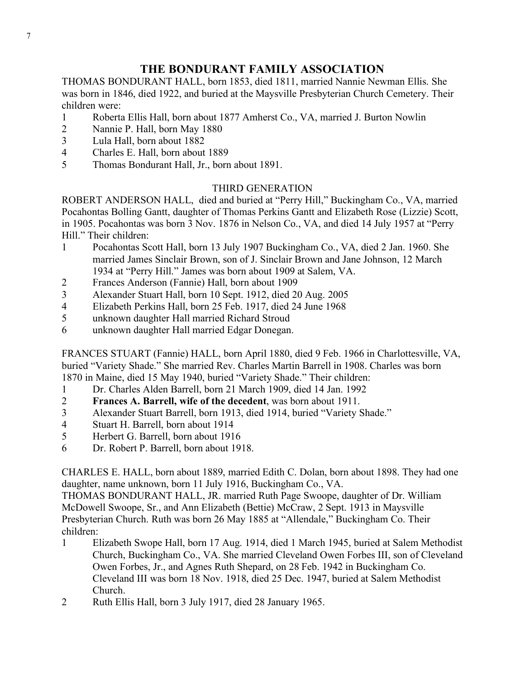THOMAS BONDURANT HALL, born 1853, died 1811, married Nannie Newman Ellis. She was born in 1846, died 1922, and buried at the Maysville Presbyterian Church Cemetery. Their children were:

- 1 Roberta Ellis Hall, born about 1877 Amherst Co., VA, married J. Burton Nowlin
- 2 Nannie P. Hall, born May 1880
- 3 Lula Hall, born about 1882
- 4 Charles E. Hall, born about 1889
- 5 Thomas Bondurant Hall, Jr., born about 1891.

#### THIRD GENERATION

ROBERT ANDERSON HALL, died and buried at "Perry Hill," Buckingham Co., VA, married Pocahontas Bolling Gantt, daughter of Thomas Perkins Gantt and Elizabeth Rose (Lizzie) Scott, in 1905. Pocahontas was born 3 Nov. 1876 in Nelson Co., VA, and died 14 July 1957 at "Perry Hill." Their children:

- 1 Pocahontas Scott Hall, born 13 July 1907 Buckingham Co., VA, died 2 Jan. 1960. She married James Sinclair Brown, son of J. Sinclair Brown and Jane Johnson, 12 March 1934 at "Perry Hill." James was born about 1909 at Salem, VA.
- 2 Frances Anderson (Fannie) Hall, born about 1909
- 3 Alexander Stuart Hall, born 10 Sept. 1912, died 20 Aug. 2005
- 4 Elizabeth Perkins Hall, born 25 Feb. 1917, died 24 June 1968
- 5 unknown daughter Hall married Richard Stroud
- 6 unknown daughter Hall married Edgar Donegan.

FRANCES STUART (Fannie) HALL, born April 1880, died 9 Feb. 1966 in Charlottesville, VA, buried "Variety Shade." She married Rev. Charles Martin Barrell in 1908. Charles was born 1870 in Maine, died 15 May 1940, buried "Variety Shade." Their children:

- 1 Dr. Charles Alden Barrell, born 21 March 1909, died 14 Jan. 1992
- 2 **Frances A. Barrell, wife of the decedent**, was born about 1911.
- 3 Alexander Stuart Barrell, born 1913, died 1914, buried "Variety Shade."
- 4 Stuart H. Barrell, born about 1914
- 5 Herbert G. Barrell, born about 1916
- 6 Dr. Robert P. Barrell, born about 1918.

CHARLES E. HALL, born about 1889, married Edith C. Dolan, born about 1898. They had one daughter, name unknown, born 11 July 1916, Buckingham Co., VA.

THOMAS BONDURANT HALL, JR. married Ruth Page Swoope, daughter of Dr. William McDowell Swoope, Sr., and Ann Elizabeth (Bettie) McCraw, 2 Sept. 1913 in Maysville Presbyterian Church. Ruth was born 26 May 1885 at "Allendale," Buckingham Co. Their children:

- 1 Elizabeth Swope Hall, born 17 Aug. 1914, died 1 March 1945, buried at Salem Methodist Church, Buckingham Co., VA. She married Cleveland Owen Forbes III, son of Cleveland Owen Forbes, Jr., and Agnes Ruth Shepard, on 28 Feb. 1942 in Buckingham Co. Cleveland III was born 18 Nov. 1918, died 25 Dec. 1947, buried at Salem Methodist Church.
- 2 Ruth Ellis Hall, born 3 July 1917, died 28 January 1965.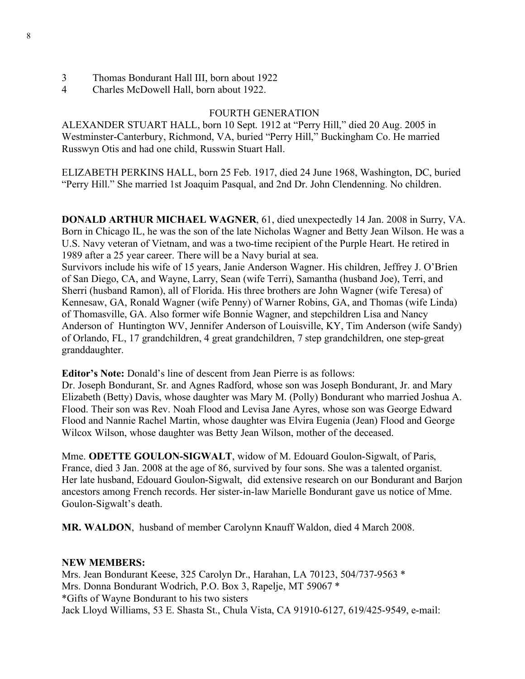- 3 Thomas Bondurant Hall III, born about 1922
- 4 Charles McDowell Hall, born about 1922.

#### FOURTH GENERATION

ALEXANDER STUART HALL, born 10 Sept. 1912 at "Perry Hill," died 20 Aug. 2005 in Westminster-Canterbury, Richmond, VA, buried "Perry Hill," Buckingham Co. He married Russwyn Otis and had one child, Russwin Stuart Hall.

ELIZABETH PERKINS HALL, born 25 Feb. 1917, died 24 June 1968, Washington, DC, buried "Perry Hill." She married 1st Joaquim Pasqual, and 2nd Dr. John Clendenning. No children.

**DONALD ARTHUR MICHAEL WAGNER**, 61, died unexpectedly 14 Jan. 2008 in Surry, VA. Born in Chicago IL, he was the son of the late Nicholas Wagner and Betty Jean Wilson. He was a U.S. Navy veteran of Vietnam, and was a two-time recipient of the Purple Heart. He retired in 1989 after a 25 year career. There will be a Navy burial at sea.

Survivors include his wife of 15 years, Janie Anderson Wagner. His children, Jeffrey J. O'Brien of San Diego, CA, and Wayne, Larry, Sean (wife Terri), Samantha (husband Joe), Terri, and Sherri (husband Ramon), all of Florida. His three brothers are John Wagner (wife Teresa) of Kennesaw, GA, Ronald Wagner (wife Penny) of Warner Robins, GA, and Thomas (wife Linda) of Thomasville, GA. Also former wife Bonnie Wagner, and stepchildren Lisa and Nancy Anderson of Huntington WV, Jennifer Anderson of Louisville, KY, Tim Anderson (wife Sandy) of Orlando, FL, 17 grandchildren, 4 great grandchildren, 7 step grandchildren, one step-great granddaughter.

**Editor's Note:** Donald's line of descent from Jean Pierre is as follows:

Dr. Joseph Bondurant, Sr. and Agnes Radford, whose son was Joseph Bondurant, Jr. and Mary Elizabeth (Betty) Davis, whose daughter was Mary M. (Polly) Bondurant who married Joshua A. Flood. Their son was Rev. Noah Flood and Levisa Jane Ayres, whose son was George Edward Flood and Nannie Rachel Martin, whose daughter was Elvira Eugenia (Jean) Flood and George Wilcox Wilson, whose daughter was Betty Jean Wilson, mother of the deceased.

Mme. **ODETTE GOULON-SIGWALT**, widow of M. Edouard Goulon-Sigwalt, of Paris, France, died 3 Jan. 2008 at the age of 86, survived by four sons. She was a talented organist. Her late husband, Edouard Goulon-Sigwalt, did extensive research on our Bondurant and Barjon ancestors among French records. Her sister-in-law Marielle Bondurant gave us notice of Mme. Goulon-Sigwalt's death.

**MR. WALDON**, husband of member Carolynn Knauff Waldon, died 4 March 2008.

#### **NEW MEMBERS:**

Mrs. Jean Bondurant Keese, 325 Carolyn Dr., Harahan, LA 70123, 504/737-9563 \* Mrs. Donna Bondurant Wodrich, P.O. Box 3, Rapelje, MT 59067 \* \*Gifts of Wayne Bondurant to his two sisters Jack Lloyd Williams, 53 E. Shasta St., Chula Vista, CA 91910-6127, 619/425-9549, e-mail: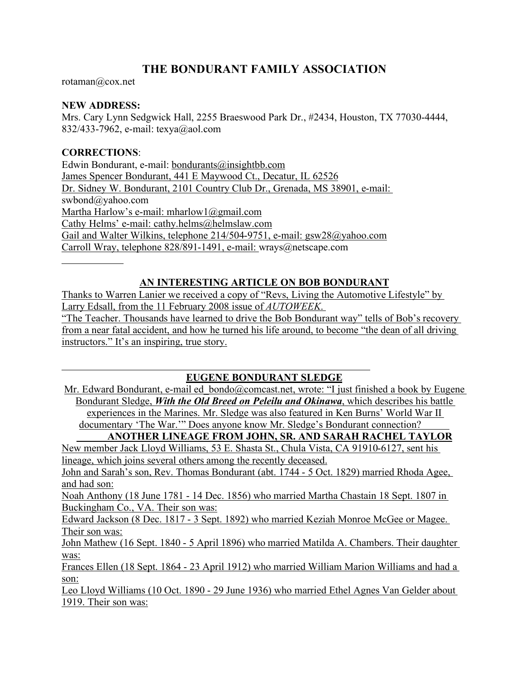rotaman@cox.net

#### **NEW ADDRESS:**

Mrs. Cary Lynn Sedgwick Hall, 2255 Braeswood Park Dr., #2434, Houston, TX 77030-4444, 832/433-7962, e-mail: texya@aol.com

#### **CORRECTIONS**:

Edwin Bondurant, e-mail: bondurants@insightbb.com James Spencer Bondurant, 441 E Maywood Ct., Decatur, IL 62526 Dr. Sidney W. Bondurant, 2101 Country Club Dr., Grenada, MS 38901, e-mail: swbond@yahoo.com Martha Harlow's e-mail: mharlow1@gmail.com Cathy Helms' e-mail: cathy.helms@helmslaw.com Gail and Walter Wilkins, telephone 214/504-9751, e-mail: gsw28@yahoo.com Carroll Wray, telephone 828/891-1491, e-mail: wrays@netscape.com

## **AN INTERESTING ARTICLE ON BOB BONDURANT**

Thanks to Warren Lanier we received a copy of "Revs, Living the Automotive Lifestyle" by Larry Edsall, from the 11 February 2008 issue of *AUTOWEEK*. "The Teacher. Thousands have learned to drive the Bob Bondurant way" tells of Bob's recovery from a near fatal accident, and how he turned his life around, to become "the dean of all driving instructors." It's an inspiring, true story.

#### **EUGENE BONDURANT SLEDGE**

Mr. Edward Bondurant, e-mail ed bondo@comcast.net, wrote: "I just finished a book by Eugene Bondurant Sledge, *With the Old Breed on Peleilu and Okinawa*, which describes his battle experiences in the Marines. Mr. Sledge was also featured in Ken Burns' World War II documentary 'The War.'" Does anyone know Mr. Sledge's Bondurant connection?

**ANOTHER LINEAGE FROM JOHN, SR. AND SARAH RACHEL TAYLOR** New member Jack Lloyd Williams, 53 E. Shasta St., Chula Vista, CA 91910-6127, sent his

lineage, which joins several others among the recently deceased.

John and Sarah's son, Rev. Thomas Bondurant (abt. 1744 - 5 Oct. 1829) married Rhoda Agee, and had son:

Noah Anthony (18 June 1781 - 14 Dec. 1856) who married Martha Chastain 18 Sept. 1807 in Buckingham Co., VA. Their son was:

Edward Jackson (8 Dec. 1817 - 3 Sept. 1892) who married Keziah Monroe McGee or Magee. Their son was:

John Mathew (16 Sept. 1840 - 5 April 1896) who married Matilda A. Chambers. Their daughter was:

Frances Ellen (18 Sept. 1864 - 23 April 1912) who married William Marion Williams and had a son:

Leo Lloyd Williams (10 Oct. 1890 - 29 June 1936) who married Ethel Agnes Van Gelder about 1919. Their son was: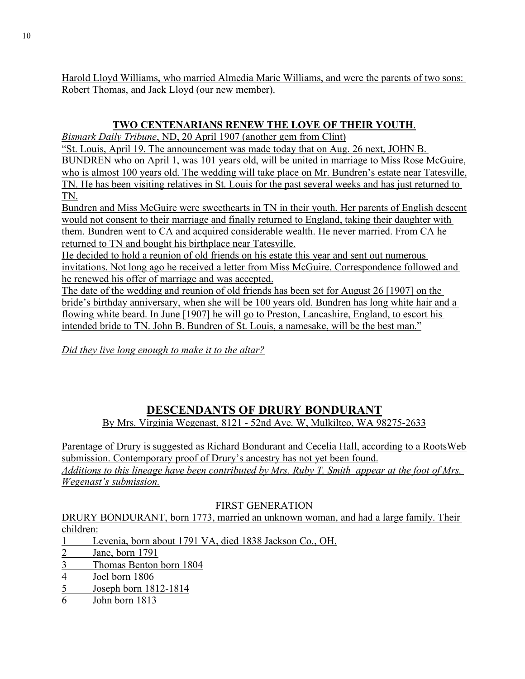Harold Lloyd Williams, who married Almedia Marie Williams, and were the parents of two sons: Robert Thomas, and Jack Lloyd (our new member).

## **TWO CENTENARIANS RENEW THE LOVE OF THEIR YOUTH**.

*Bismark Daily Tribune*, ND, 20 April 1907 (another gem from Clint)

"St. Louis, April 19. The announcement was made today that on Aug. 26 next, JOHN B. BUNDREN who on April 1, was 101 years old, will be united in marriage to Miss Rose McGuire, who is almost 100 years old. The wedding will take place on Mr. Bundren's estate near Tatesville, TN. He has been visiting relatives in St. Louis for the past several weeks and has just returned to TN.

Bundren and Miss McGuire were sweethearts in TN in their youth. Her parents of English descent would not consent to their marriage and finally returned to England, taking their daughter with them. Bundren went to CA and acquired considerable wealth. He never married. From CA he returned to TN and bought his birthplace near Tatesville.

He decided to hold a reunion of old friends on his estate this year and sent out numerous invitations. Not long ago he received a letter from Miss McGuire. Correspondence followed and he renewed his offer of marriage and was accepted.

The date of the wedding and reunion of old friends has been set for August 26 [1907] on the bride's birthday anniversary, when she will be 100 years old. Bundren has long white hair and a flowing white beard. In June [1907] he will go to Preston, Lancashire, England, to escort his intended bride to TN. John B. Bundren of St. Louis, a namesake, will be the best man."

*Did they live long enough to make it to the altar?*

# **DESCENDANTS OF DRURY BONDURANT**

By Mrs. Virginia Wegenast, 8121 - 52nd Ave. W, Mulkilteo, WA 98275-2633

Parentage of Drury is suggested as Richard Bondurant and Cecelia Hall, according to a RootsWeb submission. Contemporary proof of Drury's ancestry has not yet been found. *Additions to this lineage have been contributed by Mrs. Ruby T. Smith appear at the foot of Mrs. Wegenast's submission.*

## FIRST GENERATION

DRURY BONDURANT, born 1773, married an unknown woman, and had a large family. Their children:

- 1 Levenia, born about 1791 VA, died 1838 Jackson Co., OH.
- 2 Jane, born 1791
- 3 Thomas Benton born 1804
- 4 Joel born 1806
- 5 Joseph born 1812-1814
- 6 John born 1813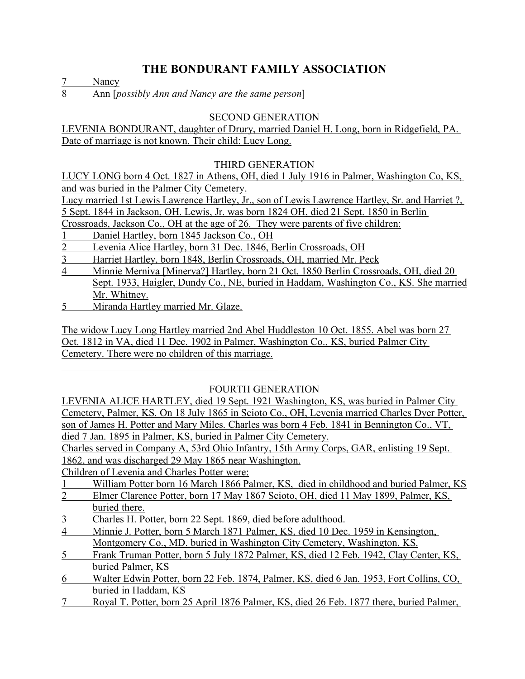7 Nancy

8 Ann [*possibly Ann and Nancy are the same person*]

#### SECOND GENERATION

LEVENIA BONDURANT, daughter of Drury, married Daniel H. Long, born in Ridgefield, PA. Date of marriage is not known. Their child: Lucy Long.

#### THIRD GENERATION

LUCY LONG born 4 Oct. 1827 in Athens, OH, died 1 July 1916 in Palmer, Washington Co, KS, and was buried in the Palmer City Cemetery.

Lucy married 1st Lewis Lawrence Hartley, Jr., son of Lewis Lawrence Hartley, Sr. and Harriet ?, 5 Sept. 1844 in Jackson, OH. Lewis, Jr. was born 1824 OH, died 21 Sept. 1850 in Berlin

Crossroads, Jackson Co., OH at the age of 26. They were parents of five children:

- 1 Daniel Hartley, born 1845 Jackson Co., OH
- 2 Levenia Alice Hartley, born 31 Dec. 1846, Berlin Crossroads, OH
- 3 Harriet Hartley, born 1848, Berlin Crossroads, OH, married Mr. Peck
- 4 Minnie Merniva [Minerva?] Hartley, born 21 Oct. 1850 Berlin Crossroads, OH, died 20 Sept. 1933, Haigler, Dundy Co., NE, buried in Haddam, Washington Co., KS. She married Mr. Whitney.
- 5 Miranda Hartley married Mr. Glaze.

The widow Lucy Long Hartley married 2nd Abel Huddleston 10 Oct. 1855. Abel was born 27 Oct. 1812 in VA, died 11 Dec. 1902 in Palmer, Washington Co., KS, buried Palmer City Cemetery. There were no children of this marriage.

## FOURTH GENERATION

LEVENIA ALICE HARTLEY, died 19 Sept. 1921 Washington, KS, was buried in Palmer City Cemetery, Palmer, KS. On 18 July 1865 in Scioto Co., OH, Levenia married Charles Dyer Potter, son of James H. Potter and Mary Miles. Charles was born 4 Feb. 1841 in Bennington Co., VT, died 7 Jan. 1895 in Palmer, KS, buried in Palmer City Cemetery.

Charles served in Company A, 53rd Ohio Infantry, 15th Army Corps, GAR, enlisting 19 Sept. 1862, and was discharged 29 May 1865 near Washington.

Children of Levenia and Charles Potter were:

- 1 William Potter born 16 March 1866 Palmer, KS, died in childhood and buried Palmer, KS<br>2 Elmer Clarence Potter, born 17 May 1867 Scioto, OH, died 11 May 1899 Palmer KS
- 2 Elmer Clarence Potter, born 17 May 1867 Scioto, OH, died 11 May 1899, Palmer, KS, buried there.
- 3 Charles H. Potter, born 22 Sept. 1869, died before adulthood.
- 4 Minnie J. Potter, born 5 March 1871 Palmer, KS, died 10 Dec. 1959 in Kensington, Montgomery Co., MD. buried in Washington City Cemetery, Washington, KS.
- 5 Frank Truman Potter, born 5 July 1872 Palmer, KS, died 12 Feb. 1942, Clay Center, KS, buried Palmer, KS
- 6 Walter Edwin Potter, born 22 Feb. 1874, Palmer, KS, died 6 Jan. 1953, Fort Collins, CO, buried in Haddam, KS
- 7 Royal T. Potter, born 25 April 1876 Palmer, KS, died 26 Feb. 1877 there, buried Palmer,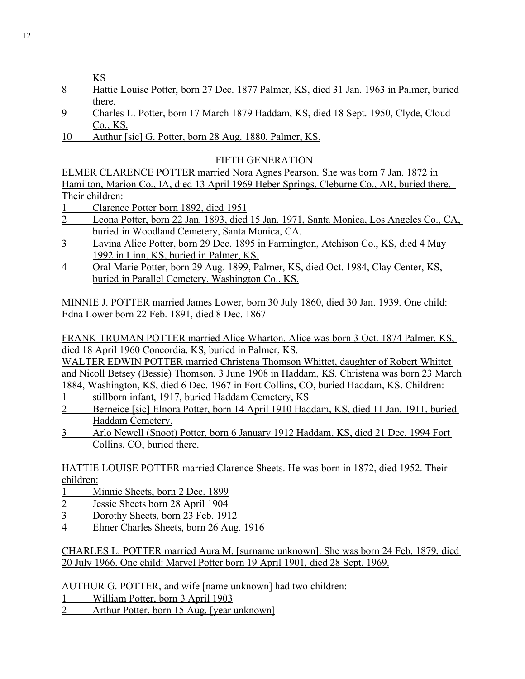KS

- 8 Hattie Louise Potter, born 27 Dec. 1877 Palmer, KS, died 31 Jan. 1963 in Palmer, buried there.
- 9 Charles L. Potter, born 17 March 1879 Haddam, KS, died 18 Sept. 1950, Clyde, Cloud Co., KS.
- 10 Authur [sic] G. Potter, born 28 Aug. 1880, Palmer, KS.

## FIFTH GENERATION

ELMER CLARENCE POTTER married Nora Agnes Pearson. She was born 7 Jan. 1872 in Hamilton, Marion Co., IA, died 13 April 1969 Heber Springs, Cleburne Co., AR, buried there. Their children:

- 1 Clarence Potter born 1892, died 1951
- 2 Leona Potter, born 22 Jan. 1893, died 15 Jan. 1971, Santa Monica, Los Angeles Co., CA, buried in Woodland Cemetery, Santa Monica, CA.
- 3 Lavina Alice Potter, born 29 Dec. 1895 in Farmington, Atchison Co., KS, died 4 May 1992 in Linn, KS, buried in Palmer, KS.
- 4 Oral Marie Potter, born 29 Aug. 1899, Palmer, KS, died Oct. 1984, Clay Center, KS, buried in Parallel Cemetery, Washington Co., KS.

MINNIE J. POTTER married James Lower, born 30 July 1860, died 30 Jan. 1939. One child: Edna Lower born 22 Feb. 1891, died 8 Dec. 1867

FRANK TRUMAN POTTER married Alice Wharton. Alice was born 3 Oct. 1874 Palmer, KS, died 18 April 1960 Concordia, KS, buried in Palmer, KS.

WALTER EDWIN POTTER married Christena Thomson Whittet, daughter of Robert Whittet and Nicoll Betsey (Bessie) Thomson, 3 June 1908 in Haddam, KS. Christena was born 23 March 1884, Washington, KS, died 6 Dec. 1967 in Fort Collins, CO, buried Haddam, KS. Children:

- stillborn infant, 1917, buried Haddam Cemetery, KS
- 2 Berneice [sic] Elnora Potter, born 14 April 1910 Haddam, KS, died 11 Jan. 1911, buried Haddam Cemetery.
- 3 Arlo Newell (Snoot) Potter, born 6 January 1912 Haddam, KS, died 21 Dec. 1994 Fort Collins, CO, buried there.

HATTIE LOUISE POTTER married Clarence Sheets. He was born in 1872, died 1952. Their children:

- 1 Minnie Sheets, born 2 Dec. 1899
- 2 Jessie Sheets born 28 April 1904
- 3 Dorothy Sheets, born 23 Feb. 1912
- 4 Elmer Charles Sheets, born 26 Aug. 1916

CHARLES L. POTTER married Aura M. [surname unknown]. She was born 24 Feb. 1879, died 20 July 1966. One child: Marvel Potter born 19 April 1901, died 28 Sept. 1969.

AUTHUR G. POTTER, and wife [name unknown] had two children:

- 1 William Potter, born 3 April 1903
- 2 Arthur Potter, born 15 Aug. [year unknown]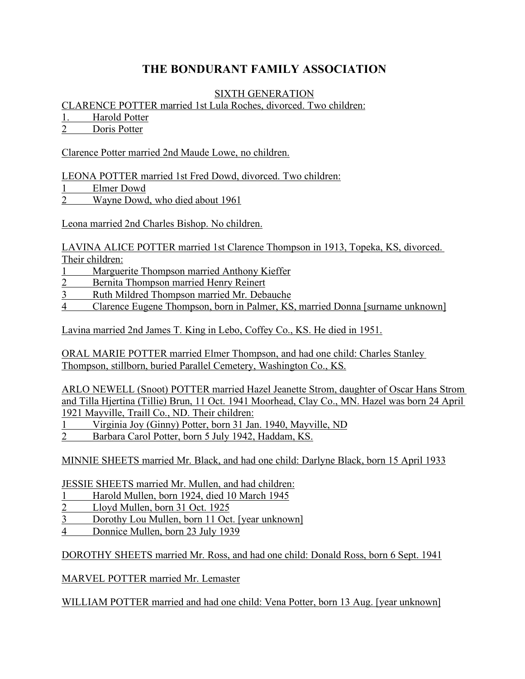#### SIXTH GENERATION

CLARENCE POTTER married 1st Lula Roches, divorced. Two children:

1. Harold Potter

2 Doris Potter

Clarence Potter married 2nd Maude Lowe, no children.

LEONA POTTER married 1st Fred Dowd, divorced. Two children:

1 Elmer Dowd

2 Wayne Dowd, who died about 1961

Leona married 2nd Charles Bishop. No children.

LAVINA ALICE POTTER married 1st Clarence Thompson in 1913, Topeka, KS, divorced. Their children:

- Marguerite Thompson married Anthony Kieffer
- 2 Bernita Thompson married Henry Reinert
- 3 Ruth Mildred Thompson married Mr. Debauche
- 4 Clarence Eugene Thompson, born in Palmer, KS, married Donna [surname unknown]

Lavina married 2nd James T. King in Lebo, Coffey Co., KS. He died in 1951.

ORAL MARIE POTTER married Elmer Thompson, and had one child: Charles Stanley Thompson, stillborn, buried Parallel Cemetery, Washington Co., KS.

ARLO NEWELL (Snoot) POTTER married Hazel Jeanette Strom, daughter of Oscar Hans Strom and Tilla Hjertina (Tillie) Brun, 11 Oct. 1941 Moorhead, Clay Co., MN. Hazel was born 24 April 1921 Mayville, Traill Co., ND. Their children:

1 Virginia Joy (Ginny) Potter, born 31 Jan. 1940, Mayville, ND

2 Barbara Carol Potter, born 5 July 1942, Haddam, KS.

MINNIE SHEETS married Mr. Black, and had one child: Darlyne Black, born 15 April 1933

JESSIE SHEETS married Mr. Mullen, and had children:

- 1 Harold Mullen, born 1924, died 10 March 1945
- 2 Lloyd Mullen, born 31 Oct. 1925
- 3 Dorothy Lou Mullen, born 11 Oct. [year unknown]

4 Donnice Mullen, born 23 July 1939

DOROTHY SHEETS married Mr. Ross, and had one child: Donald Ross, born 6 Sept. 1941

MARVEL POTTER married Mr. Lemaster

WILLIAM POTTER married and had one child: Vena Potter, born 13 Aug. [year unknown]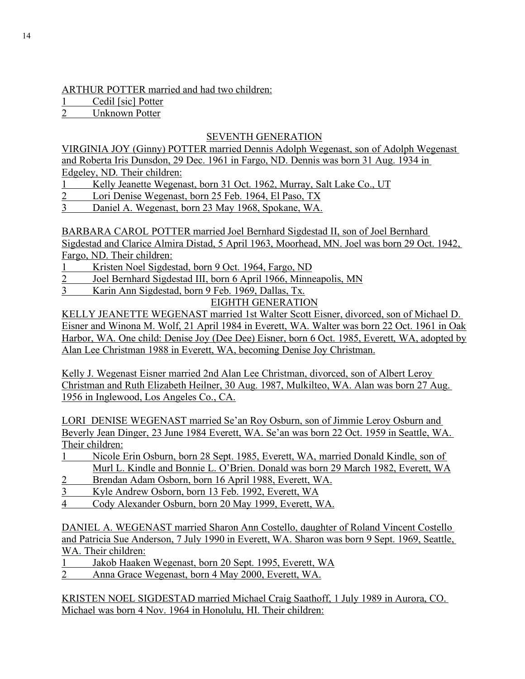#### ARTHUR POTTER married and had two children:

1 Cedil [sic] Potter<br>2 Unknown Potter

Unknown Potter

## SEVENTH GENERATION

VIRGINIA JOY (Ginny) POTTER married Dennis Adolph Wegenast, son of Adolph Wegenast and Roberta Iris Dunsdon, 29 Dec. 1961 in Fargo, ND. Dennis was born 31 Aug. 1934 in Edgeley, ND. Their children:

- 1 Kelly Jeanette Wegenast, born 31 Oct. 1962, Murray, Salt Lake Co., UT
- 2 Lori Denise Wegenast, born 25 Feb. 1964, El Paso, TX
- 3 Daniel A. Wegenast, born 23 May 1968, Spokane, WA.

BARBARA CAROL POTTER married Joel Bernhard Sigdestad II, son of Joel Bernhard Sigdestad and Clarice Almira Distad, 5 April 1963, Moorhead, MN. Joel was born 29 Oct. 1942, Fargo, ND. Their children:

- 1 Kristen Noel Sigdestad, born 9 Oct. 1964, Fargo, ND
- 2 Joel Bernhard Sigdestad III, born 6 April 1966, Minneapolis, MN
- 3 Karin Ann Sigdestad, born 9 Feb. 1969, Dallas, Tx.

EIGHTH GENERATION

KELLY JEANETTE WEGENAST married 1st Walter Scott Eisner, divorced, son of Michael D. Eisner and Winona M. Wolf, 21 April 1984 in Everett, WA. Walter was born 22 Oct. 1961 in Oak Harbor, WA. One child: Denise Joy (Dee Dee) Eisner, born 6 Oct. 1985, Everett, WA, adopted by Alan Lee Christman 1988 in Everett, WA, becoming Denise Joy Christman.

Kelly J. Wegenast Eisner married 2nd Alan Lee Christman, divorced, son of Albert Leroy Christman and Ruth Elizabeth Heilner, 30 Aug. 1987, Mulkilteo, WA. Alan was born 27 Aug. 1956 in Inglewood, Los Angeles Co., CA.

LORI DENISE WEGENAST married Se'an Roy Osburn, son of Jimmie Leroy Osburn and Beverly Jean Dinger, 23 June 1984 Everett, WA. Se'an was born 22 Oct. 1959 in Seattle, WA. Their children:

- 1 Nicole Erin Osburn, born 28 Sept. 1985, Everett, WA, married Donald Kindle, son of Murl L. Kindle and Bonnie L. O'Brien. Donald was born 29 March 1982, Everett, WA
- 2 Brendan Adam Osborn, born 16 April 1988, Everett, WA.
- 3 Kyle Andrew Osborn, born 13 Feb. 1992, Everett, WA
- 4 Cody Alexander Osburn, born 20 May 1999, Everett, WA.

DANIEL A. WEGENAST married Sharon Ann Costello, daughter of Roland Vincent Costello and Patricia Sue Anderson, 7 July 1990 in Everett, WA. Sharon was born 9 Sept. 1969, Seattle, WA. Their children:

1 Jakob Haaken Wegenast, born 20 Sept. 1995, Everett, WA<br>2 Anna Grace Wegenast. born 4 May 2000 Everett WA

2 Anna Grace Wegenast, born 4 May 2000, Everett, WA.

KRISTEN NOEL SIGDESTAD married Michael Craig Saathoff, 1 July 1989 in Aurora, CO. Michael was born 4 Nov. 1964 in Honolulu, HI. Their children: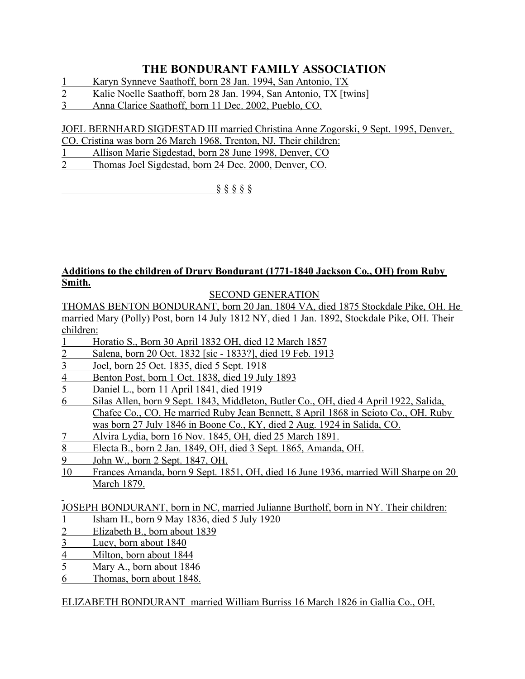- 1 Karyn Synneve Saathoff, born 28 Jan. 1994, San Antonio, TX
- 2 Kalie Noelle Saathoff, born 28 Jan. 1994, San Antonio, TX [twins]
- 3 Anna Clarice Saathoff, born 11 Dec. 2002, Pueblo, CO.

# JOEL BERNHARD SIGDESTAD III married Christina Anne Zogorski, 9 Sept. 1995, Denver,

- CO. Cristina was born 26 March 1968, Trenton, NJ. Their children:
- 1 Allison Marie Sigdestad, born 28 June 1998, Denver, CO
- 2 Thomas Joel Sigdestad, born 24 Dec. 2000, Denver, CO.

§ § § § §

#### **Additions to the children of Drury Bondurant (1771-1840 Jackson Co., OH) from Ruby Smith.**

SECOND GENERATION

THOMAS BENTON BONDURANT, born 20 Jan. 1804 VA, died 1875 Stockdale Pike, OH. He married Mary (Polly) Post, born 14 July 1812 NY, died 1 Jan. 1892, Stockdale Pike, OH. Their children:

- 1 Horatio S., Born 30 April 1832 OH, died 12 March 1857
- 2 Salena, born 20 Oct. 1832 [sic 1833?], died 19 Feb. 1913
- 3 Joel, born 25 Oct. 1835, died 5 Sept. 1918
- 4 Benton Post, born 1 Oct. 1838, died 19 July 1893
- 5 Daniel L., born 11 April 1841, died 1919
- 6 Silas Allen, born 9 Sept. 1843, Middleton, Butler Co., OH, died 4 April 1922, Salida, Chafee Co., CO. He married Ruby Jean Bennett, 8 April 1868 in Scioto Co., OH. Ruby was born 27 July 1846 in Boone Co., KY, died 2 Aug. 1924 in Salida, CO.
- 7 Alvira Lydia, born 16 Nov. 1845, OH, died 25 March 1891.
- 8 Electa B., born 2 Jan. 1849, OH, died 3 Sept. 1865, Amanda, OH.
- 9 John W., born 2 Sept. 1847, OH.
- 10 Frances Amanda, born 9 Sept. 1851, OH, died 16 June 1936, married Will Sharpe on 20 March 1879.

JOSEPH BONDURANT, born in NC, married Julianne Burtholf, born in NY. Their children:

- 1 Isham H., born 9 May 1836, died 5 July 1920
- 2 Elizabeth B., born about 1839
- 3 Lucy, born about 1840
- 4 Milton, born about 1844<br>5 Mary A., born about 184
- Mary A., born about 1846
- 6 Thomas, born about 1848.

ELIZABETH BONDURANT married William Burriss 16 March 1826 in Gallia Co., OH.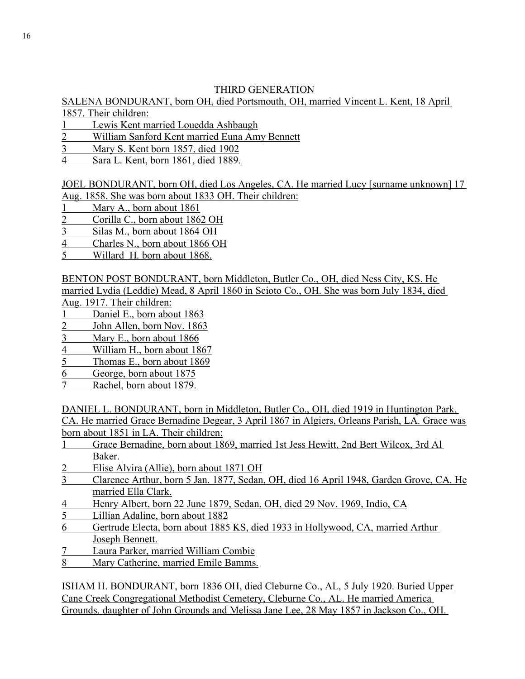## THIRD GENERATION

#### SALENA BONDURANT, born OH, died Portsmouth, OH, married Vincent L. Kent, 18 April 1857. Their children:

- 1 Lewis Kent married Louedda Ashbaugh
- 2 William Sanford Kent married Euna Amy Bennett
- 3 Mary S. Kent born 1857, died 1902
- 4 Sara L. Kent, born 1861, died 1889.

# JOEL BONDURANT, born OH, died Los Angeles, CA. He married Lucy [surname unknown] 17

- Aug. 1858. She was born about 1833 OH. Their children:
- 1 Mary A., born about 1861
- 2 Corilla C., born about 1862 OH
- 3 Silas M., born about 1864 OH
- 4 Charles N., born about 1866 OH
- 5 Willard H. born about 1868.

BENTON POST BONDURANT, born Middleton, Butler Co., OH, died Ness City, KS. He married Lydia (Leddie) Mead, 8 April 1860 in Scioto Co., OH. She was born July 1834, died

Aug. 1917. Their children:

- Daniel E., born about 1863
- 2 John Allen, born Nov. 1863
- 3 Mary E., born about 1866
- 4 William H., born about 1867
- 5 Thomas E., born about 1869
- 6 George, born about 1875
- 7 Rachel, born about 1879.

DANIEL L. BONDURANT, born in Middleton, Butler Co., OH, died 1919 in Huntington Park, CA. He married Grace Bernadine Degear, 3 April 1867 in Algiers, Orleans Parish, LA. Grace was born about 1851 in LA. Their children:

- 1 Grace Bernadine, born about 1869, married 1st Jess Hewitt, 2nd Bert Wilcox, 3rd Al Baker.
- 2 Elise Alvira (Allie), born about 1871 OH
- 3 Clarence Arthur, born 5 Jan. 1877, Sedan, OH, died 16 April 1948, Garden Grove, CA. He married Ella Clark.
- 4 Henry Albert, born 22 June 1879, Sedan, OH, died 29 Nov. 1969, Indio, CA
- 5 Lillian Adaline, born about 1882
- 6 Gertrude Electa, born about 1885 KS, died 1933 in Hollywood, CA, married Arthur Joseph Bennett.
- 7 Laura Parker, married William Combie
- 8 Mary Catherine, married Emile Bamms.

ISHAM H. BONDURANT, born 1836 OH, died Cleburne Co., AL, 5 July 1920. Buried Upper Cane Creek Congregational Methodist Cemetery, Cleburne Co., AL. He married America Grounds, daughter of John Grounds and Melissa Jane Lee, 28 May 1857 in Jackson Co., OH.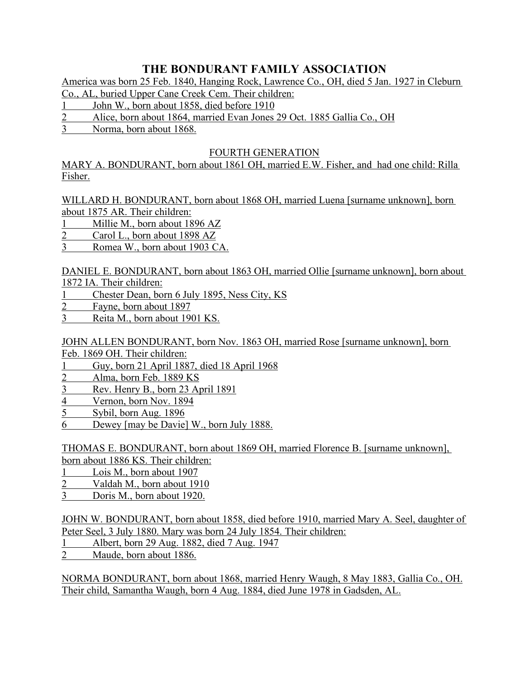America was born 25 Feb. 1840, Hanging Rock, Lawrence Co., OH, died 5 Jan. 1927 in Cleburn

Co., AL, buried Upper Cane Creek Cem. Their children:

- 1 John W., born about 1858, died before 1910
- 2 Alice, born about 1864, married Evan Jones 29 Oct. 1885 Gallia Co., OH
- 3 Norma, born about 1868.

## FOURTH GENERATION

MARY A. BONDURANT, born about 1861 OH, married E.W. Fisher, and had one child: Rilla Fisher.

WILLARD H. BONDURANT, born about 1868 OH, married Luena [surname unknown], born about 1875 AR. Their children:

- 1 Millie M., born about 1896 AZ
- 2 Carol L., born about 1898 AZ
- 3 Romea W., born about 1903 CA.

DANIEL E. BONDURANT, born about 1863 OH, married Ollie [surname unknown], born about 1872 IA. Their children:

- 1 Chester Dean, born 6 July 1895, Ness City, KS
- 2 Fayne, born about 1897
- 3 Reita M., born about 1901 KS.

JOHN ALLEN BONDURANT, born Nov. 1863 OH, married Rose [surname unknown], born Feb. 1869 OH. Their children:

- 1 Guy, born 21 April 1887, died 18 April 1968
- 2 Alma, born Feb. 1889 KS
- 3 Rev. Henry B., born 23 April 1891
- 4 Vernon, born Nov. 1894
- 5 Sybil, born Aug. 1896
- 6 Dewey [may be Davie] W., born July 1888.

THOMAS E. BONDURANT, born about 1869 OH, married Florence B. [surname unknown],

- born about 1886 KS. Their children:
- 1 Lois M., born about 1907
- 2 Valdah M., born about 1910
- 3 Doris M., born about 1920.

JOHN W. BONDURANT, born about 1858, died before 1910, married Mary A. Seel, daughter of Peter Seel, 3 July 1880. Mary was born 24 July 1854. Their children:

- 1 Albert, born 29 Aug. 1882, died 7 Aug. 1947
- 2 Maude, born about 1886.

NORMA BONDURANT, born about 1868, married Henry Waugh, 8 May 1883, Gallia Co., OH. Their child, Samantha Waugh, born 4 Aug. 1884, died June 1978 in Gadsden, AL.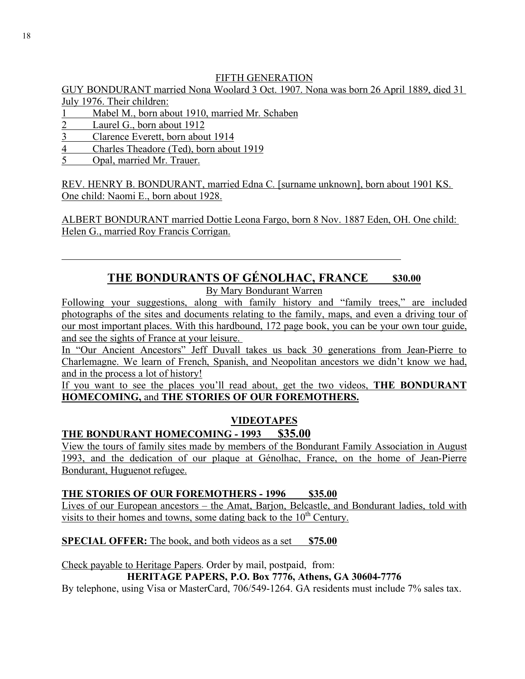## FIFTH GENERATION

GUY BONDURANT married Nona Woolard 3 Oct. 1907. Nona was born 26 April 1889, died 31 July 1976. Their children:

- 1 Mabel M., born about 1910, married Mr. Schaben
- 2 Laurel G., born about 1912
- 3 Clarence Everett, born about 1914
- 4 Charles Theadore (Ted), born about 1919
- 5 Opal, married Mr. Trauer.

REV. HENRY B. BONDURANT, married Edna C. [surname unknown], born about 1901 KS. One child: Naomi E., born about 1928.

ALBERT BONDURANT married Dottie Leona Fargo, born 8 Nov. 1887 Eden, OH. One child: Helen G., married Roy Francis Corrigan.

# THE BONDURANTS OF GÉNOLHAC, FRANCE \$30.00

By Mary Bondurant Warren

Following your suggestions, along with family history and "family trees," are included photographs of the sites and documents relating to the family, maps, and even a driving tour of our most important places. With this hardbound, 172 page book, you can be your own tour guide, and see the sights of France at your leisure.

In "Our Ancient Ancestors" Jeff Duvall takes us back 30 generations from Jean-Pierre to Charlemagne. We learn of French, Spanish, and Neopolitan ancestors we didn't know we had, and in the process a lot of history!

If you want to see the places you'll read about, get the two videos, **THE BONDURANT HOMECOMING,** and **THE STORIES OF OUR FOREMOTHERS.**

# **VIDEOTAPES**

# **THE BONDURANT HOMECOMING - 1993 \$35.00**

View the tours of family sites made by members of the Bondurant Family Association in August 1993, and the dedication of our plaque at Génolhac, France, on the home of Jean-Pierre Bondurant, Huguenot refugee.

**THE STORIES OF OUR FOREMOTHERS - 1996 \$35.00**

Lives of our European ancestors – the Amat, Barjon, Belcastle, and Bondurant ladies, told with visits to their homes and towns, some dating back to the  $10<sup>th</sup>$  Century.

**SPECIAL OFFER:** The book, and both videos as a set \$75.00

Check payable to Heritage Papers. Order by mail, postpaid, from:

## **HERITAGE PAPERS, P.O. Box 7776, Athens, GA 30604-7776**

By telephone, using Visa or MasterCard, 706/549-1264. GA residents must include 7% sales tax.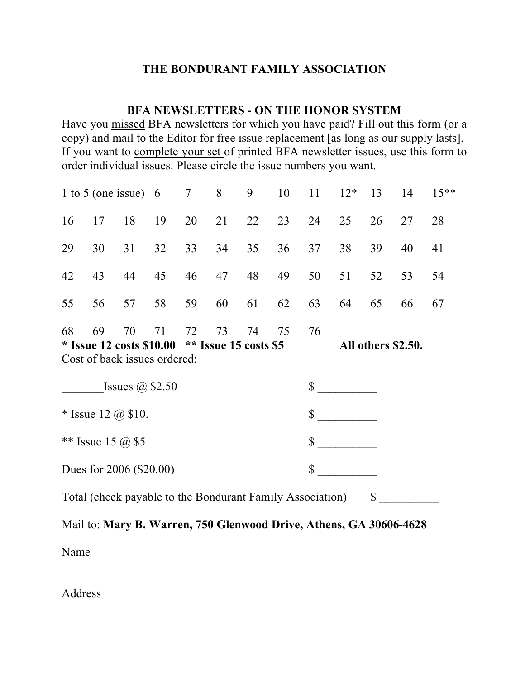## **BFA NEWSLETTERS - ON THE HONOR SYSTEM**

Have you missed BFA newsletters for which you have paid? Fill out this form (or a copy) and mail to the Editor for free issue replacement [as long as our supply lasts]. If you want to complete your set of printed BFA newsletter issues, use this form to order individual issues. Please circle the issue numbers you want.

| 1 to 5 (one issue) $6 \t 7 \t 8$                                                                        |    |    |    |                      |    | 9               |    |    | $10 \t 11 \t 12^*$ | 13 | 14 | $15**$ |
|---------------------------------------------------------------------------------------------------------|----|----|----|----------------------|----|-----------------|----|----|--------------------|----|----|--------|
| 16                                                                                                      | 17 | 18 | 19 | 20                   | 21 | 22              | 23 | 24 | 25                 | 26 | 27 | 28     |
| 29                                                                                                      | 30 | 31 | 32 | 33                   | 34 | 35 <sup>5</sup> | 36 | 37 | 38                 | 39 | 40 | 41     |
| 42                                                                                                      | 43 | 44 | 45 | 46                   | 47 | 48              | 49 | 50 | 51                 | 52 | 53 | 54     |
| 55                                                                                                      | 56 | 57 | 58 | 59                   | 60 | 61              | 62 | 63 | 64                 | 65 | 66 | 67     |
| 68<br>69<br>70<br>71<br>* Issue 12 costs $$10.00$ ** Issue 15 costs \$5<br>Cost of back issues ordered: |    |    |    | 72<br>73<br>74<br>75 |    |                 |    | 76 | All others \$2.50. |    |    |        |
| Issues $\omega$ \$2.50                                                                                  |    |    |    |                      |    |                 |    | \$ |                    |    |    |        |
| * Issue 12 $(a)$ \$10.                                                                                  |    |    |    |                      |    |                 |    | \$ |                    |    |    |        |
| ** Issue 15 $(a)$ \$5                                                                                   |    |    |    |                      |    |                 |    | \$ |                    |    |    |        |
| Dues for $2006$ (\$20.00)                                                                               |    |    |    |                      |    |                 |    | \$ |                    |    |    |        |

Total (check payable to the Bondurant Family Association) \$

Mail to: **Mary B. Warren, 750 Glenwood Drive, Athens, GA 30606-4628** Name

Address